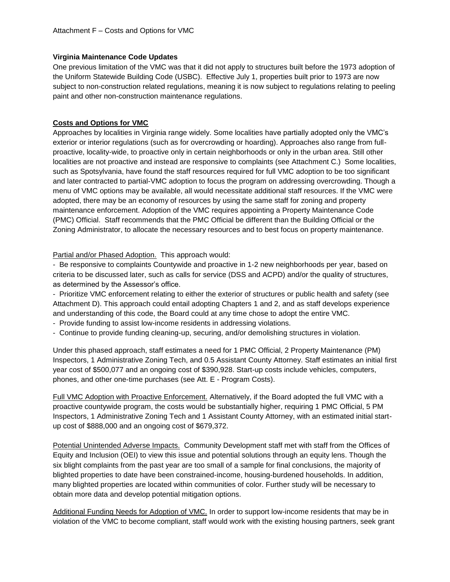## **Virginia Maintenance Code Updates**

One previous limitation of the VMC was that it did not apply to structures built before the 1973 adoption of the Uniform Statewide Building Code (USBC). Effective July 1, properties built prior to 1973 are now subject to non-construction related regulations, meaning it is now subject to regulations relating to peeling paint and other non-construction maintenance regulations.

## **Costs and Options for VMC**

Approaches by localities in Virginia range widely. Some localities have partially adopted only the VMC's exterior or interior regulations (such as for overcrowding or hoarding). Approaches also range from fullproactive, locality-wide, to proactive only in certain neighborhoods or only in the urban area. Still other localities are not proactive and instead are responsive to complaints (see Attachment C.) Some localities, such as Spotsylvania, have found the staff resources required for full VMC adoption to be too significant and later contracted to partial-VMC adoption to focus the program on addressing overcrowding. Though a menu of VMC options may be available, all would necessitate additional staff resources. If the VMC were adopted, there may be an economy of resources by using the same staff for zoning and property maintenance enforcement. Adoption of the VMC requires appointing a Property Maintenance Code (PMC) Official. Staff recommends that the PMC Official be different than the Building Official or the Zoning Administrator, to allocate the necessary resources and to best focus on property maintenance.

## Partial and/or Phased Adoption. This approach would:

- Be responsive to complaints Countywide and proactive in 1-2 new neighborhoods per year, based on criteria to be discussed later, such as calls for service (DSS and ACPD) and/or the quality of structures, as determined by the Assessor's office.

- Prioritize VMC enforcement relating to either the exterior of structures or public health and safety (see Attachment D). This approach could entail adopting Chapters 1 and 2, and as staff develops experience and understanding of this code, the Board could at any time chose to adopt the entire VMC.

- Provide funding to assist low-income residents in addressing violations.
- Continue to provide funding cleaning-up, securing, and/or demolishing structures in violation.

Under this phased approach, staff estimates a need for 1 PMC Official, 2 Property Maintenance (PM) Inspectors, 1 Administrative Zoning Tech, and 0.5 Assistant County Attorney. Staff estimates an initial first year cost of \$500,077 and an ongoing cost of \$390,928. Start-up costs include vehicles, computers, phones, and other one-time purchases (see Att. E - Program Costs).

Full VMC Adoption with Proactive Enforcement. Alternatively, if the Board adopted the full VMC with a proactive countywide program, the costs would be substantially higher, requiring 1 PMC Official, 5 PM Inspectors, 1 Administrative Zoning Tech and 1 Assistant County Attorney, with an estimated initial startup cost of \$888,000 and an ongoing cost of \$679,372.

Potential Unintended Adverse Impacts. Community Development staff met with staff from the Offices of Equity and Inclusion (OEI) to view this issue and potential solutions through an equity lens. Though the six blight complaints from the past year are too small of a sample for final conclusions, the majority of blighted properties to date have been constrained-income, housing-burdened households. In addition, many blighted properties are located within communities of color. Further study will be necessary to obtain more data and develop potential mitigation options.

Additional Funding Needs for Adoption of VMC. In order to support low-income residents that may be in violation of the VMC to become compliant, staff would work with the existing housing partners, seek grant